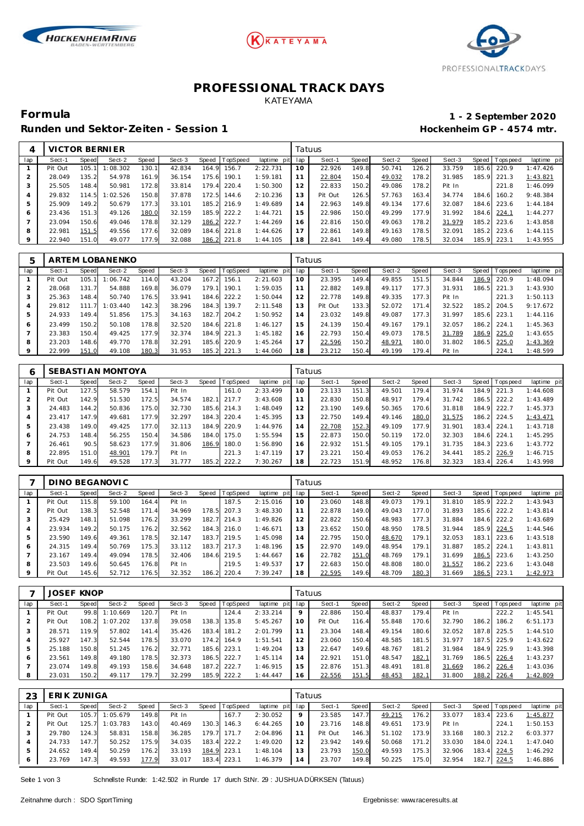





### **PROFESSIONAL TRACK DAYS** KATEYAMA

Runden und Sektor-Zeiten - Session 1 **an alle als extension 1 Hockenheim GP** - 4574 mtr.

# **Formula 1 - 2 September 2020**

| 4   |         |        | VICTOR BERNIER |       |        |       |             |             |                | Tatuus  |       |        |       |        |       |                 |             |
|-----|---------|--------|----------------|-------|--------|-------|-------------|-------------|----------------|---------|-------|--------|-------|--------|-------|-----------------|-------------|
| lap | Sect-1  | Speed  | Sect-2         | Speed | Sect-3 | Speed | TopSpeed    | laptime pit | lap            | Sect-1  | Speed | Sect-2 | Speed | Sect-3 |       | Speed Tops peed | laptime pit |
|     | Pit Out | 105.   | 1:08.302       | 130.1 | 42.834 | 164.9 | 156.7       | 2:22.731    |                | 22.926  | 149.8 | 50.741 | 126.2 | 33.759 | 185.6 | 220.9           | 1:47.426    |
|     | 28.049  | 135.2  | 54.978         | 161.9 | 36.154 | 75.6  | 190.1       | 1:59.181    |                | 22.804  | 150.4 | 49.032 | 178.2 | 31.985 |       | 185.9 221.3     | 1:43.821    |
| 3   | 25.505  | 148.4  | 50.981         | 172.8 | 33.814 | 79.4  | 220.4       | 1:50.300    | 12             | 22.833  | 150.2 | 49.086 | 178.2 | Pit In |       | 221.8           | 1:46.099    |
| 4   | 29.832  | 114.5  | 1:02.526       | 150.8 | 37.878 | 172.5 | 144.6       | 2:10.236    | 3              | Pit Out | 126.5 | 57.763 | 163.4 | 34.774 | 184.6 | 160.2           | 9:48.384    |
| 5   | 25.909  | 149.2  | 50.679         | 177.3 | 33.101 |       | 185.2 216.9 | 1:49.689    | $\overline{A}$ | 22.963  | 149.8 | 49.134 | 177.6 | 32.087 | 184.6 | 223.6           | 1:44.184    |
| 6   | 23.436  | 151.3  | 49.126         | 180.0 | 32.159 | 185.9 | 222.2       | 1:44.721    | 15             | 22.986  | 150.0 | 49.299 | 177.9 | 31.992 | 184.6 | 224.1           | 1:44.277    |
|     | 23.094  | 150.61 | 49.046         | 178.8 | 32.129 | 186.2 | 222.7       | 1:44.269    | 16             | 22.816  | 150.0 | 49.063 | 178.2 | 31.979 |       | 185.2 223.6     | 1:43.858    |
| 8   | 22.981  | 151.5  | 49.556         | 177.6 | 32.089 | 184.6 | 221.8       | 1:44.626    |                | 22.861  | 149.8 | 49.163 | 178.5 | 32.091 |       | 185.2 223.6     | 1:44.115    |
| 9   | 22.940  | 151.0  | 49.077         | 177.9 | 32.088 | 186.2 | 221.8       | 1:44.105    | 18             | 22.841  | 149.4 | 49.080 | 178.5 | 32.034 |       | 185.9 223.1     | 1:43.955    |

| 5   |         |       | ARTEM LOBANENKO |       |        |       |             |             |     | Tatuus  |       |        |         |        |       |                 |             |
|-----|---------|-------|-----------------|-------|--------|-------|-------------|-------------|-----|---------|-------|--------|---------|--------|-------|-----------------|-------------|
| lap | Sect-1  | Speed | Sect-2          | Speed | Sect-3 | Speed | TopSpeed    | laptime pit | lap | Sect-1  | Speed | Sect-2 | Speed I | Sect-3 |       | Speed Tops peed | laptime pit |
|     | Pit Out | 105.1 | 1:06.742        | 114.0 | 43.204 | 167.2 | 156.1       | 2:21.603    | 10  | 23.395  | 149.4 | 49.855 | 151.5   | 34.844 | 186.9 | 220.9           | 1:48.094    |
| 2   | 28.068  | 131.7 | 54.888          | 169.8 | 36.079 | 179.1 | 190.1       | 1:59.035    | 11  | 22.882  | 149.8 | 49.117 | 177.3   | 31.931 | 186.5 | 221.3           | 1:43.930    |
| 3   | 25.363  | 148.4 | 50.740          | 176.5 | 33.941 | 184.6 | 222.2       | 1:50.044    | 12  | 22.778  | 149.8 | 49.335 | 177.3   | Pit In |       | 221.3           | 1:50.113    |
| 4   | 29.812  | 111   | 1:03.440        | 142.3 | 38.296 | 184.3 | 139.7       | 2:11.548    | 13  | Pit Out | 133.3 | 52.072 | 171.41  | 32.522 | 185.2 | 204.5           | 9:17.672    |
| 5   | 24.933  | 149.4 | 51.856          | 175.3 | 34.163 | 182.7 | 204.2       | 1:50.952    | 14  | 23.032  | 149.8 | 49.087 | 177.3   | 31.997 | 185.6 | 223.1           | 1:44.116    |
| 6   | 23.499  | 150.2 | 50.108          | 178.8 | 32.520 |       | 184.6 221.8 | 1:46.127    | 15  | 24.139  | 150.4 | 49.167 | 179.1   | 32.057 |       | 186.2 224.1     | 1:45.363    |
|     | 23.383  | 150.4 | 49.425          | 177.9 | 32.374 | 184.9 | 221.3       | 1:45.182    | 16  | 22.793  | 150.4 | 49.073 | 178.5   | 31.789 | 186.9 | 225.0           | 1:43.655    |
| 8   | 23.203  | 148.6 | 49.770          | 178.8 | 32.291 | 185.6 | 220.9       | 1:45.264    | 17  | 22.596  | 150.2 | 48.971 | 180.0   | 31.802 | 186.5 | 225.0           | 1:43.369    |
| 9   | 22.999  | 151.0 | 49.108          | 180.3 | 31.953 | 185.2 | 221.3       | 1:44.060    | 18  | 23.212  | 150.4 | 49.199 | 179.4   | Pit In |       | 224.1           | 1:48.599    |

|                | SEBASTI AN MONTOYA |       |        |       |        |       |                 |                |     | Tatuus |       |        |       |        |       |                 |             |
|----------------|--------------------|-------|--------|-------|--------|-------|-----------------|----------------|-----|--------|-------|--------|-------|--------|-------|-----------------|-------------|
| lap            | Sect-1             | Speed | Sect-2 | Speed | Sect-3 | Speed | <b>TopSpeed</b> | laptime<br>pit | lap | Sect-1 | Speed | Sect-2 | Speed | Sect-3 |       | Speed Tops peed | laptime pit |
|                | Pit Out            | 127.5 | 58.579 | 154.1 | Pit In |       | 161.0           | 2:33.499       | 10  | 23.133 | 151.3 | 49.501 | 179.4 | 31.974 | 184.9 | 221.3           | 1:44.608    |
| $\overline{2}$ | Pit Out            | 142.9 | 51.530 | 172.5 | 34.574 | 182.1 | 217.7           | 3:43.608       |     | 22.830 | 150.8 | 48.917 | 179.4 | 31.742 | 186.5 | 222.2           | 1:43.489    |
| 3              | 24.483             | 144.2 | 50.836 | 175.0 | 32.730 |       | 185.6 214.3     | 1:48.049       | 12  | 23.190 | 149.6 | 50.365 | 170.6 | 31.818 | 184.9 | 222.7           | 1:45.373    |
| 4              | 23.417             | 147.9 | 49.681 | 177.9 | 32.297 | 184.3 | 220.4           | 1:45.395       | 13  | 22.750 | 149.4 | 49.146 | 180.0 | 31.575 |       | 186.2 224.5     | 1:43.471    |
| 5              | 23.438             | 149.0 | 49.425 | 177.0 | 32.113 | 184.9 | 220.9           | 1:44.976       | 14  | 22.708 | 152.3 | 49.109 | 177.9 | 31.901 | 183.4 | 224.1           | 1:43.718    |
| 6              | 24.753             | 148.4 | 56.255 | 150.4 | 34.586 | 184.0 | 175.0           | 1:55.594       | 15  | 22.873 | 150.0 | 50.119 | 172.0 | 32.303 | 184.6 | 224.1           | 1:45.295    |
|                | 26.461             | 90.5  | 58.623 | 177.9 | 31.806 | 186.9 | 180.0           | 1:56.890       | 16  | 22.932 | 151.5 | 49.105 | 179.1 | 31.735 | 184.3 | 223.6           | 1:43.772    |
| 8              | 22.895             | 151.0 | 48.901 | 179.7 | Pit In |       | 221.3           | 1:47.119       | 17  | 23.221 | 150.4 | 49.053 | 176.2 | 34.441 | 185.2 | 226.9           | 1:46.715    |
| 9              | Pit Out            | 149.6 | 49.528 | 177.3 | 31.777 | 185.2 | 222.2           | 7:30.267       | 18  | 22.723 | 151.9 | 48.952 | 176.8 | 32.323 | 183.4 | 226.4           | 1:43.998    |

|             |         |       | DINO BEGANOVIC |       |        |       |             |                 |    | Tatuus |       |        |       |        |       |                 |             |
|-------------|---------|-------|----------------|-------|--------|-------|-------------|-----------------|----|--------|-------|--------|-------|--------|-------|-----------------|-------------|
| lap         | Sect-1  | Speed | Sect-2         | Speed | Sect-3 | Speed | TopSpeed    | laptime pit lap |    | Sect-1 | Speed | Sect-2 | Speed | Sect-3 |       | Speed Tops peed | laptime pit |
|             | Pit Out | 115.8 | 59.100         | 164.4 | Pit In |       | 187.5       | 2:15.016        | 10 | 23.060 | 148.8 | 49.073 | 179.1 | 31.810 | 185.9 | 222.2           | 1:43.943    |
|             | Pit Out | 138.3 | 52.548         | 171.4 | 34.969 | 178.5 | 207.3       | 3:48.330        |    | 22.878 | 149.0 | 49.043 | 177.0 | 31.893 | 185.6 | 222.2           | 1:43.814    |
|             | 25.429  | 148.1 | 51.098         | 176.2 | 33.299 |       | 182.7 214.3 | 1:49.826        | 12 | 22.822 | 150.6 | 48.983 | 177.3 | 31.884 | 184.6 | 222.2           | 1:43.689    |
| 4           | 23.934  | 149.2 | 50.175         | 176.2 | 32.562 |       | 184.3 216.0 | 1:46.671        | 13 | 23.652 | 150.0 | 48.950 | 178.5 | 31.944 | 185.9 | 224.5           | 1:44.546    |
| 5           | 23.590  | 149.6 | 49.361         | 178.5 | 32.147 |       | 183.7 219.5 | 1:45.098        | 14 | 22.795 | 150.0 | 48.670 | 179.1 | 32.053 | 183.1 | 223.6           | 1:43.518    |
| 6           | 24.315  | 149.4 | 50.769         | 175.3 | 33.112 |       | 183.7 217.3 | 1:48.196        | 15 | 22.970 | 149.0 | 48.954 | 179.1 | 31.887 | 185.2 | 224.1           | 1:43.811    |
|             | 23.167  | 149.4 | 49.094         | 178.5 | 32.406 |       | 184.6 219.5 | 1:44.667        | 16 | 22.782 | 151.0 | 48.769 | 179.1 | 31.699 | 186.5 | 223.6           | 1:43.250    |
| 8           | 23.503  | 149.6 | 50.645         | 176.8 | Pit In |       | 219.5       | 1:49.537        | 17 | 22.683 | 150.0 | 48.808 | 180.0 | 31.557 | 186.2 | 223.6           | 1:43.048    |
| $\mathsf Q$ | Pit Out | 145.6 | 52.712         | 176.5 | 32.352 |       | 186.2 220.4 | 7:39.247        | 18 | 22.595 | 149.6 | 48.709 | 180.3 | 31.669 | 186.5 | 223.1           | 1:42.973    |

|     | <b>JOSEF KNOP</b> |              |          |       |        |       |          |             |                | Tatuus  |       |        |       |        |       |                 |             |
|-----|-------------------|--------------|----------|-------|--------|-------|----------|-------------|----------------|---------|-------|--------|-------|--------|-------|-----------------|-------------|
| lap | Sect-1            | <b>Speed</b> | Sect-2   | Speed | Sect-3 | Speed | TopSpeed | laptime pit | lap            | Sect-1  | Speed | Sect-2 | Speed | Sect-3 |       | Speed Tops peed | laptime pit |
|     | Pit Out           | 99.8         | 1:10.669 | 120.7 | Pit In |       | 124.4    | 2:33.214    | 9              | 22.886  | 150.4 | 48.837 | 179.4 | Pit In |       | 222.2           | 1:45.541    |
|     | Pit Out           | 108.2        | 1:07.202 | 137.8 | 39.058 | 138.3 | 135.8    | 5:45.267    | 10             | Pit Out | 116.4 | 55.848 | 170.6 | 32.790 | 186.2 | 186.2           | 6:51.173    |
| 3   | 28.571            | 119.9        | 57.802   | 141.4 | 35.426 | 183.4 | 181.2    | 2:01.799    |                | 23.304  | 148.4 | 49.154 | 180.6 | 32.052 | 187.8 | 225.5           | 1:44.510    |
| 4   | 25.927            | 147.3        | 52.544   | 178.5 | 33.070 | 174.2 | 164.9    | 1:51.541    | 12             | 23.060  | 150.4 | 48.585 | 181.5 | 31.977 | 187.5 | 225.9           | 1:43.622    |
| 5   | 25.188            | 150.8        | 51.245   | 176.2 | 32.771 | 185.6 | 223.1    | 1:49.204    | 13             | 22.647  | 149.6 | 48.767 | 181.2 | 31.984 | 184.9 | 225.9           | 1:43.398    |
| 6   | 23.561            | 149.8        | 49.180   | 178.5 | 32.373 | 186.5 | 222.7    | 1:45.114    | $\overline{A}$ | 22.921  | 151.0 | 48.547 | 182.1 | 31.769 | 186.5 | 226.4           | 1:43.237    |
|     | 23.074            | 149.8        | 49.193   | 158.6 | 34.648 | 187.2 | 222.7    | 1:46.915    | 15             | 22.876  | 151.3 | 48.491 | 181.8 | 31.669 | 186.2 | 226.4           | 1:43.036    |
| 8   | 23.031            | 150.2        | 49.117   | 179.7 | 32.299 | 185.9 | 222.2    | 1:44.447    | 16             | 22.556  | 151.5 | 48.453 | 182.1 | 31.800 | 188.2 | 226.4           | 1:42.809    |

| 23  | ERIK ZUNIGA |       |                |       |        |       |             |                 |         | Tatuus  |       |        |       |        |       |                |             |
|-----|-------------|-------|----------------|-------|--------|-------|-------------|-----------------|---------|---------|-------|--------|-------|--------|-------|----------------|-------------|
| lap | Sect-1      | Speed | Sect-2         | Speed | Sect-3 | Speed | TopSpeed    | laptime pit lap |         | Sect-1  | Speed | Sect-2 | Speed | Sect-3 |       | Speed Topspeed | laptime pit |
|     | Pit Out     |       | 105.7 1:05.679 | 149.8 | Pit In |       | 167.7       | 2:30.052        | $\circ$ | 23.585  | 147.7 | 49.215 | 176.2 | 33.077 | 183.4 | 223.6          | 1:45.877    |
|     | Pit Out     |       | 125.7 1:03.783 | 143.0 | 40.469 | 130.3 | 146.3       | 6: 44.265       | 10      | 23.716  | 148.8 | 49.651 | 173.9 | Pit In |       | 224.7          | 1:50.153    |
|     | 29.780      | 124.3 | 58.831         | 158.8 | 36.285 | 179.7 | 171.7       | 2:04.896        |         | Pit Out | 146.3 | 51.102 | 173.9 | 33.168 |       | 180.3 212.2    | 6:03.377    |
|     | 24.733      | 147.7 | 50.252         | 175.9 | 34.035 |       | 183.4 222.2 | 1:49.020        |         | 23.942  | 149.6 | 50.068 | 171.2 | 33.030 |       | 184.0 224.1    | 1:47.040    |
|     | 24.652      | 149.4 | 50.259         | 176.2 | 33.193 | 184.9 | 223.1       | 1:48.104        | 13      | 23.793  | 150.0 | 49.593 | 175.3 | 32.906 | 183.4 | 224.5          | 1:46.292    |
|     | 23.769      | 147.3 | 49.593         | 177.9 | 33.017 |       | 183.4 223.1 | 1:46.379        | 14      | 23.707  | 149.8 | 50.225 | 175.0 | 32.954 | 182.7 | 224.5          | 1:46.886    |

Seite 1 von 3 Schnellste Runde: 1:42.502 in Runde 17 durch StNr. 29 : JUSHUA DÜRKSEN (Tatuus)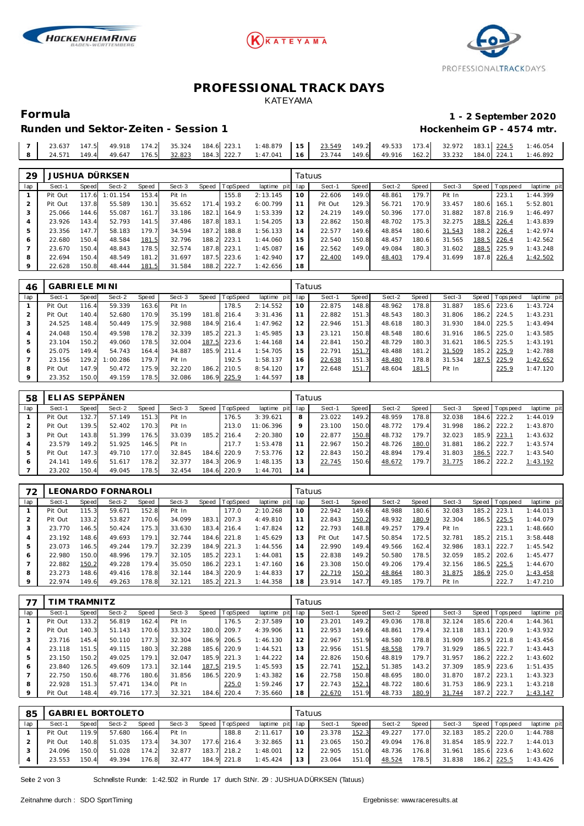





### **PROFESSIONAL TRACK DAYS** KATEYAMA

#### **Formula 1 - 2 September 2020 Hockenheim GP - 4574 mtr.**

| Runden und Sektor-Zeiten - Session 1 |  |
|--------------------------------------|--|
|                                      |  |

| 23.637 | 147.5 | 49.918 | $-$ 174.2 35.324 | 184.6 223.1                                                                              | $1:48.879$ 15 | 23.549 | 149.2 | 49.533 |  |  | 173.4 32.972 183.1 224.5 1:46.054 |
|--------|-------|--------|------------------|------------------------------------------------------------------------------------------|---------------|--------|-------|--------|--|--|-----------------------------------|
| 24.571 | 149.4 |        |                  | 49.647 176.5 32.823 184.3 222.7 1:47.041 16 23.744 149.6 49.916 162.2 33.232 184.0 224.1 |               |        |       |        |  |  | 1:46.892                          |

| 29  |         |          | JUSHUA DÜRKSEN |       |        |       |             |                 |     | Tatuus  |       |        |       |        |       |                   |             |
|-----|---------|----------|----------------|-------|--------|-------|-------------|-----------------|-----|---------|-------|--------|-------|--------|-------|-------------------|-------------|
| lap | Sect-1  | Speed    | Sect-2         | Speed | Sect-3 | Speed | TopSpeed    | laptime<br>pitl | lap | Sect-1  | Speed | Sect-2 | Speed | Sect-3 |       | Speed   Tops peed | laptime pit |
|     | Pit Out | 117<br>6 | 1:01.154       | 153.4 | Pit In |       | 155.8       | 2:13.145        | 10  | 22.606  | 149.0 | 48.861 | 179.7 | Pit In |       | 223.1             | 1:44.399    |
|     | Pit Out | 137.8    | 55.589         | 130.1 | 35.652 | 171.  | 193.2       | 6:00.799        | 11  | Pit Out | 129.3 | 56.721 | 170.9 | 33.457 | 180.6 | 165.1             | 5:52.801    |
| 3   | 25.066  | 144.6    | 55.087         | 161.7 | 33.186 | 182.1 | 164.9       | 1:53.339        | 12  | 24.219  | 149.0 | 50.396 | 177.0 | 31.882 | 187.8 | 216.9             | 1:46.497    |
| 4   | 23.926  | 143.4    | 52.793         | 141.5 | 37.486 |       | 187.8 183.1 | 1:54.205        | 13  | 22.862  | 150.8 | 48.702 | 175.3 | 32.275 | 188.5 | 226.4             | 1:43.839    |
| 5   | 23.356  | 147.7    | 58.183         | 179.7 | 34.594 | 187.2 | 188.8       | 1:56.133        | 14  | 22.577  | 149.6 | 48.854 | 180.6 | 31.543 | 188.2 | 226.4             | 1:42.974    |
| 6   | 22.680  | 150.4    | 48.584         | 181.5 | 32.796 |       | 188.2 223.1 | 1:44.060        | 15  | 22.540  | 150.8 | 48.457 | 180.6 | 31.565 | 188.5 | 226.4             | 1:42.562    |
|     | 23.670  | 150.4    | 48.843         | 178.5 | 32.574 |       | 187.8 223.1 | 1:45.087        | 16  | 22.562  | 149.0 | 49.084 | 180.3 | 31.602 | 188.5 | 225.9             | 1:43.248    |
| 8   | 22.694  | 150.4    | 48.549         | 181.2 | 31.697 |       | 187.5 223.6 | 1:42.940        | 17  | 22.400  | 149.0 | 48.403 | 179.4 | 31.699 | 187.8 | 226.4             | 1:42.502    |
| 9   | 22.628  | 150.8    | 48.444         | 181.5 | 31.584 |       | 188.2 222.7 | 1:42.656        | 18  |         |       |        |       |        |       |                   |             |

| 46      | GABRI ELE MI NI |       |          |       |        |       |          |             |     | Tatuus |       |        |       |        |       |                 |             |
|---------|-----------------|-------|----------|-------|--------|-------|----------|-------------|-----|--------|-------|--------|-------|--------|-------|-----------------|-------------|
| lap     | Sect-1          | Speed | Sect-2   | Speed | Sect-3 | Speed | TopSpeed | laptime pit | lap | Sect-1 | Speed | Sect-2 | Speed | Sect-3 |       | Speed Tops peed | laptime pit |
|         | Pit Out         | 116.4 | 59.339   | 163.6 | Pit In |       | 178.5    | 2:14.552    | 10  | 22.875 | 148.8 | 48.962 | 178.8 | 31.887 | 185.6 | 223.6           | 1:43.724    |
| 2       | Pit Out         | 140.4 | 52.680   | 170.9 | 35.199 | 181.8 | 216.4    | 3:31.436    |     | 22.882 | 151.3 | 48.543 | 180.3 | 31.806 |       | 186.2 224.5     | 1:43.231    |
|         | 24.525          | 148.4 | 50.449   | 175.9 | 32.988 | 184.9 | 216.4    | 1:47.962    | 12  | 22.946 | 151.3 | 48.618 | 180.3 | 31.930 | 184.0 | 225.5           | 1:43.494    |
| 4       | 24.048          | 150.4 | 49.598   | 178.2 | 32.339 | 185.2 | 221.3    | 1:45.985    | 13  | 23.121 | 150.8 | 48.548 | 180.6 | 31.916 | 186.5 | 225.0           | 1:43.585    |
| 5       | 23.104          | 150.2 | 49.060   | 178.5 | 32.004 | 187.5 | 223.6    | 1:44.168    | 14  | 22.841 | 150.2 | 48.729 | 180.3 | 31.621 | 186.5 | 225.5           | 1:43.191    |
| 6       | 25.075          | 149.4 | 54.743   | 164.4 | 34.887 | 185.9 | 211.4    | 1:54.705    | 15  | 22.791 | 151.7 | 48.488 | 181.2 | 31.509 | 185.2 | 225.9           | 1:42.788    |
|         | 23.156          | 129.2 | 1:00.286 | 179.7 | Pit In |       | 192.5    | 1:58.137    | 16  | 22.638 | 151.3 | 48.480 | 178.8 | 31.534 | 187.5 | 225.9           | 1:42.652    |
| 8       | Pit Out         | 147.9 | 50.472   | 175.9 | 32.220 | 186.2 | 210.5    | 8:54.120    | 17  | 22.648 | 151.7 | 48.604 | 181.5 | Pit In |       | 225.9           | 1:47.120    |
| $\circ$ | 23.352          | 150.0 | 49.159   | 178.5 | 32.086 | 186.9 | 225.9    | 1:44.597    | 18  |        |       |        |       |        |       |                 |             |

| 58  | ELIAS SEPPÄNEN |                    |        |       |        |       |          |             |         | Tatuus |       |        |        |        |       |                 |             |
|-----|----------------|--------------------|--------|-------|--------|-------|----------|-------------|---------|--------|-------|--------|--------|--------|-------|-----------------|-------------|
| lap | Sect-1         | Speed              | Sect-2 | Speed | Sect-3 | Speed | TopSpeed | laptime pit | lap     | Sect-1 | Speed | Sect-2 | Speed  | Sect-3 |       | Speed Tops peed | laptime pit |
|     | Pit Out        | 132.7              | 57.149 | 151.3 | Pit In |       | 176.5    | 3:39.621    | 8       | 23.022 | 149.2 | 48.959 | 178.8  | 32.038 | 184.6 | 222.2           | 1:44.019    |
|     | Pit Out        | 139.5              | 52.402 | 170.3 | Pit In |       | 213.0    | 11:06.396   | $\circ$ | 23.100 | 150.0 | 48.772 | 179.4  | 31.998 |       | 186.2 222.2     | 1:43.870    |
|     | Pit Out        | 143.8              | 51.399 | 176.5 | 33.039 | 185.2 | 216.4    | 2:20.380    |         | 22.877 | 150.8 | 48.732 | 179.7  | 32.023 | 185.9 | 223.1           | 1:43.632    |
|     | 23.579         | 149.2              | 51.925 | 146.5 | Pit In |       | 217.7    | 1:53.478    |         | 22.967 | 150.2 | 48.726 | 180.0  | 31.881 | 186.2 | 222.7           | 1:43.574    |
|     | Pit Out        | 147.3              | 49.710 | 177.0 | 32.845 | 184.6 | 220.9    | 7:53.776    |         | 22.843 | 150.2 | 48.894 | 179.41 | 31.803 | 186.5 | 222.7           | 1:43.540    |
| 6   | 24.141         | 149.6              | 51.617 | 178.2 | 32.377 | 184.3 | 206.9    | 1:48.135    |         | 22.745 | 150.6 | 48.672 | 179.7  | 31.775 | 186.2 | 222.2           | 1:43.192    |
|     | 23.202         | 150.4 <sub>1</sub> | 49.045 | 178.5 | 32.454 | 184.6 | 220.9    | 1:44.701    | 14      |        |       |        |        |        |       |                 |             |

| 72  |         |       | LEONARDO FORNAROLI |       |        |       |                 |             |     | Tatuus  |       |        |       |        |        |             |             |
|-----|---------|-------|--------------------|-------|--------|-------|-----------------|-------------|-----|---------|-------|--------|-------|--------|--------|-------------|-------------|
| lap | Sect-1  | Speed | Sect-2             | Speed | Sect-3 | Speed | <b>TopSpeed</b> | laptime pit | lap | Sect-1  | Speed | Sect-2 | Speed | Sect-3 | Speed  | T ops pee d | laptime pit |
|     | Pit Out | 115.3 | 59.671             | 152.8 | Pit In |       | 77.0            | 2:10.268    | 10  | 22.942  | 149.6 | 48.988 | 180.6 | 32.083 | 185.2  | 223.7       | 1:44.013    |
|     | Pit Out | 133.2 | 53.827             | 170.6 | 34.099 | 183.1 | 207.3           | 4:49.810    |     | 22.843  | 150.2 | 48.932 | 180.9 | 32.304 | 186.5  | 225.5       | 1:44.079    |
| 3   | 23.770  | 146.5 | 50.424             | 175.3 | 33.630 | 183.4 | 216.4           | 1:47.824    | 12  | 22.793  | 148.8 | 49.257 | 179.4 | Pit In |        | 223.7       | 1:48.660    |
|     | 23.192  | 148.6 | 49.693             | 179.1 | 32.744 | 184.6 | 221.8           | 1:45.629    | 13  | Pit Out | 147.5 | 50.854 | 172.5 | 32.781 | 185.21 | 215.1       | 3:58.448    |
| 5   | 23.073  | 146.5 | 49.244             | 179.7 | 32.239 | 184.9 | 221.3           | 1:44.556    | 14  | 22.990  | 149.4 | 49.566 | 162.4 | 32.986 | 183.1  | 222.7       | 1:45.542    |
| 6   | 22.980  | 150.0 | 48.996             | 179.7 | 32.105 | 185.2 | 223.1           | 1:44.081    | 15  | 22.838  | 149.2 | 50.580 | 178.5 | 32.059 | 185.2  | 202.6       | 1:45.477    |
|     | 22.882  | 150.2 | 49.228             | 179.4 | 35.050 | 186.2 | 223.1           | 1:47.160    | 16  | 23.308  | 150.0 | 49.206 | 179.4 | 32.156 | 186.5  | 225.5       | 1:44.670    |
| 8   | 23.273  | 148.6 | 49.416             | 178.8 | 32.144 | 184.3 | 220.9           | 1:44.833    | 17  | 22.719  | 150.2 | 48.864 | 180.3 | 31.875 | 186.9  | 225.0       | 1:43.458    |
| 9   | 22.974  | 149.6 | 49.263             | 178.8 | 32.121 | 185.2 | 221.3           | 1:44.358    | 18  | 23.914  | 147.7 | 49.185 | 179.7 | Pit In |        | 222.7       | 1:47.210    |

|     |         | IM TRAMNITZ |        |       |        |       |          |             | Tatuus |        |       |        |       |        |       |                   |             |  |
|-----|---------|-------------|--------|-------|--------|-------|----------|-------------|--------|--------|-------|--------|-------|--------|-------|-------------------|-------------|--|
| lap | Sect-1  | Speed       | Sect-2 | Speed | Sect-3 | Speed | TopSpeed | laptime pit | lap    | Sect-1 | Speed | Sect-2 | Speed | Sect-3 |       | Speed   Tops peed | laptime pit |  |
|     | Pit Out | 133.2       | 56.819 | 162.4 | Pit In |       | 176.5    | 2:37.589    | 10     | 23.201 | 149.2 | 49.036 | 178.8 | 32.124 | 185.6 | 220.4             | 1: 44.361   |  |
| 2   | Pit Out | 140.3       | 51.143 | 170.6 | 33.322 | 180.0 | 209.7    | 4:39.906    | 11     | 22.953 | 149.6 | 48.861 | 179.4 | 32.118 | 183.1 | 220.9             | 1:43.932    |  |
| 3   | 23.716  | 145.4       | 50.110 | 177.3 | 32.304 | 186.9 | 206.5    | 1:46.130    | 12     | 22.967 | 151.9 | 48.580 | 178.8 | 31.909 | 185.9 | 221.8             | 1:43.456    |  |
| 4   | 23.118  | 151.5       | 49.115 | 180.3 | 32.288 | 185.6 | 220.9    | 1:44.521    | 13     | 22.956 | 151.5 | 48.558 | 179.7 | 31.929 | 186.5 | 222.7             | 1:43.443    |  |
| 5   | 23.150  | 150.2       | 49.025 | 179.1 | 32.047 | 185.9 | 221.3    | 1:44.222    | 14     | 22.826 | 150.6 | 48.819 | 179.7 | 31.957 | 186.2 | 222.2             | 1:43.602    |  |
| 6   | 23.840  | 126.5       | 49.609 | 173.1 | 32.144 | 187.5 | 219.5    | 1:45.593    | 15     | 22.741 | 152.1 | 51.385 | 143.2 | 37.309 | 185.9 | 223.6             | 1:51.435    |  |
|     | 22.750  | 150.6       | 48.776 | 180.6 | 31.856 | 186.5 | 220.9    | 1:43.382    | 16     | 22.758 | 150.8 | 48.695 | 180.0 | 31.870 | 187.2 | 223.1             | 1:43.323    |  |
| 8   | 22.928  | 151.3       | 57.471 | 134.0 | Pit In |       | 225.0    | 1:59.246    | 17     | 22.743 | 152.1 | 48.722 | 180.6 | 31.753 | 186.9 | 223.1             | 1:43.218    |  |
| 9   | Pit Out | 148.4       | 49.716 | 177.3 | 32.321 | 184.6 | 220.4    | 7:35.660    | 18     | 22.670 | 151.9 | 48.733 | 180.9 | 31.744 | 187.2 | 222.7             | 1:43.147    |  |

| 85  |         |       | <b>GABRIEL BORTOLETO</b> |       |        |                |                 | Tatuus |        |       |        |       |        |  |                |             |
|-----|---------|-------|--------------------------|-------|--------|----------------|-----------------|--------|--------|-------|--------|-------|--------|--|----------------|-------------|
| lap | Sect-1  | Speed | Sect-2                   | Speed | Sect-3 | Speed TopSpeed | laptime pit lap |        | Sect-1 | Speed | Sect-2 | Speed | Sect-3 |  | Speed Topspeed | laptime pit |
|     | Pit Out | 119.9 | 57.680                   | 166.4 | Pit In | 188.8          | 2:11.617        | 10     | 23.378 | 152.3 | 49.227 | 177.0 | 32.183 |  | 185.2 220.0    | 1:44.788    |
|     | Pit Out | 140.8 | 51.035                   | 173.4 | 34.307 | 177.6 216.4    | 3:32.865        | 11     | 23.065 | 150.2 | 49.094 | 176.8 | 31.854 |  | 185.9 222.7    | 1:44.013    |
|     | 24.096  | 150.0 | 51.028                   | 174.2 | 32.877 | 183.7 218.2    | 1:48.001        | 12     | 22.905 | 151.0 | 48.736 | 176.8 | 31.961 |  | 185.6 223.6    | 1:43.602    |
|     | 23.553  | 150.4 | 49.394                   | 176.8 | 32.477 | 184.9 221.8    | 1:45.424        | 13     | 23.064 | 151.0 | 48.524 | 178.5 | 31.838 |  | 186.2 225.5    | 1:43.426    |

Seite 2 von 3 Schnellste Runde: 1:42.502 in Runde 17 durch StNr. 29 : JUSHUA DÜRKSEN (Tatuus)